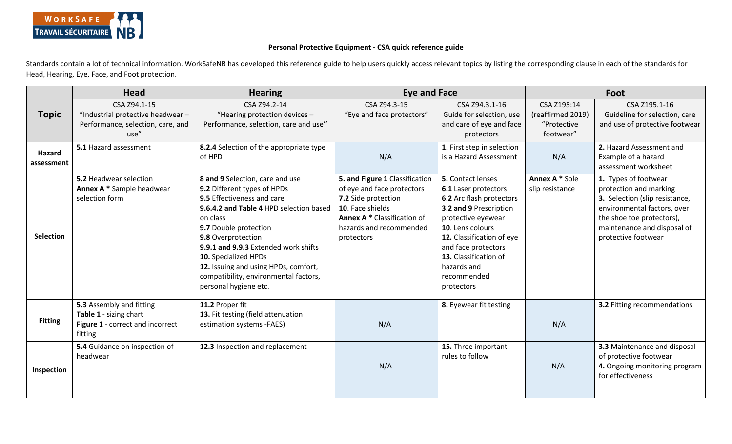

## **Personal Protective Equipment - CSA quick reference guide**

Standards contain a lot of technical information. WorkSafeNB has developed this reference guide to help users quickly access relevant topics by listing the corresponding clause in each of the standards for Head, Hearing, Eye, Face, and Foot protection.

|                      | <b>Head</b>                                                                                       | <b>Hearing</b>                                                                                                                                                                                                                                                                                                                                                               | <b>Eye and Face</b>                                                                                                                                                             |                                                                                                                                                                                                                                                                    | Foot                                                         |                                                                                                                                                                                                    |
|----------------------|---------------------------------------------------------------------------------------------------|------------------------------------------------------------------------------------------------------------------------------------------------------------------------------------------------------------------------------------------------------------------------------------------------------------------------------------------------------------------------------|---------------------------------------------------------------------------------------------------------------------------------------------------------------------------------|--------------------------------------------------------------------------------------------------------------------------------------------------------------------------------------------------------------------------------------------------------------------|--------------------------------------------------------------|----------------------------------------------------------------------------------------------------------------------------------------------------------------------------------------------------|
| <b>Topic</b>         | CSA Z94.1-15<br>"Industrial protective headwear-<br>Performance, selection, care, and<br>use"     | CSA Z94.2-14<br>"Hearing protection devices -<br>Performance, selection, care and use"                                                                                                                                                                                                                                                                                       | CSA Z94.3-15<br>"Eye and face protectors"                                                                                                                                       | CSA Z94.3.1-16<br>Guide for selection, use<br>and care of eye and face<br>protectors                                                                                                                                                                               | CSA Z195:14<br>(reaffirmed 2019)<br>"Protective<br>footwear" | CSA Z195.1-16<br>Guideline for selection, care<br>and use of protective footwear                                                                                                                   |
| Hazard<br>assessment | 5.1 Hazard assessment                                                                             | 8.2.4 Selection of the appropriate type<br>of HPD                                                                                                                                                                                                                                                                                                                            | N/A                                                                                                                                                                             | 1. First step in selection<br>is a Hazard Assessment                                                                                                                                                                                                               | N/A                                                          | 2. Hazard Assessment and<br>Example of a hazard<br>assessment worksheet                                                                                                                            |
| <b>Selection</b>     | 5.2 Headwear selection<br>Annex A * Sample headwear<br>selection form                             | 8 and 9 Selection, care and use<br>9.2 Different types of HPDs<br>9.5 Effectiveness and care<br>9.6.4.2 and Table 4 HPD selection based<br>on class<br>9.7 Double protection<br>9.8 Overprotection<br>9.9.1 and 9.9.3 Extended work shifts<br>10. Specialized HPDs<br>12. Issuing and using HPDs, comfort,<br>compatibility, environmental factors,<br>personal hygiene etc. | 5. and Figure 1 Classification<br>of eye and face protectors<br>7.2 Side protection<br>10. Face shields<br>Annex A * Classification of<br>hazards and recommended<br>protectors | 5. Contact lenses<br>6.1 Laser protectors<br>6.2 Arc flash protectors<br>3.2 and 9 Prescription<br>protective eyewear<br>10. Lens colours<br>12. Classification of eye<br>and face protectors<br>13. Classification of<br>hazards and<br>recommended<br>protectors | Annex A * Sole<br>slip resistance                            | 1. Types of footwear<br>protection and marking<br>3. Selection (slip resistance,<br>environmental factors, over<br>the shoe toe protectors),<br>maintenance and disposal of<br>protective footwear |
| <b>Fitting</b>       | 5.3 Assembly and fitting<br>Table 1 - sizing chart<br>Figure 1 - correct and incorrect<br>fitting | 11.2 Proper fit<br>13. Fit testing (field attenuation<br>estimation systems -FAES)                                                                                                                                                                                                                                                                                           | N/A                                                                                                                                                                             | 8. Eyewear fit testing                                                                                                                                                                                                                                             | N/A                                                          | <b>3.2 Fitting recommendations</b>                                                                                                                                                                 |
| Inspection           | 5.4 Guidance on inspection of<br>headwear                                                         | 12.3 Inspection and replacement                                                                                                                                                                                                                                                                                                                                              | N/A                                                                                                                                                                             | 15. Three important<br>rules to follow                                                                                                                                                                                                                             | N/A                                                          | 3.3 Maintenance and disposal<br>of protective footwear<br>4. Ongoing monitoring program<br>for effectiveness                                                                                       |